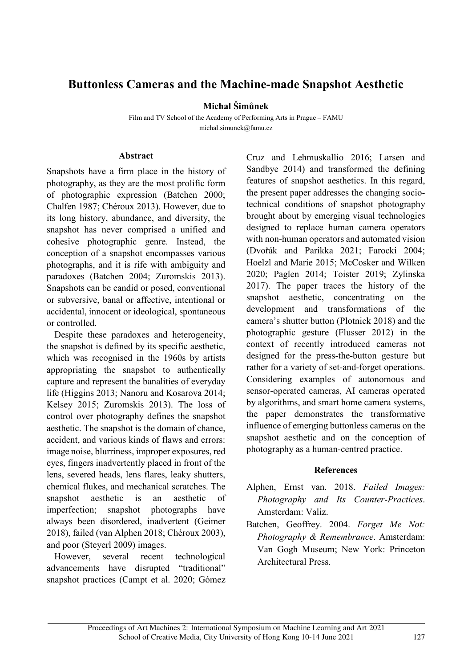## **Buttonless Cameras and the Machine-made Snapshot Aesthetic**

**Michal Šimůnek**

Film and TV School of the Academy of Performing Arts in Prague – FAMU michal.simunek@famu.cz

## **Abstract**

Snapshots have a firm place in the history of photography, as they are the most prolific form of photographic expression (Batchen 2000; Chalfen 1987; Chéroux 2013). However, due to its long history, abundance, and diversity, the snapshot has never comprised a unified and cohesive photographic genre. Instead, the conception of a snapshot encompasses various photographs, and it is rife with ambiguity and paradoxes (Batchen 2004; Zuromskis 2013). Snapshots can be candid or posed, conventional or subversive, banal or affective, intentional or accidental, innocent or ideological, spontaneous or controlled.

Despite these paradoxes and heterogeneity, the snapshot is defined by its specific aesthetic, which was recognised in the 1960s by artists appropriating the snapshot to authentically capture and represent the banalities of everyday life (Higgins 2013; Nanoru and Kosarova 2014; Kelsey 2015; Zuromskis 2013). The loss of control over photography defines the snapshot aesthetic. The snapshot is the domain of chance, accident, and various kinds of flaws and errors: image noise, blurriness, improper exposures, red eyes, fingers inadvertently placed in front of the lens, severed heads, lens flares, leaky shutters, chemical flukes, and mechanical scratches. The snapshot aesthetic is an aesthetic of imperfection; snapshot photographs have always been disordered, inadvertent (Geimer 2018), failed (van Alphen 2018; Chéroux 2003), and poor (Steyerl 2009) images.

However, several recent technological advancements have disrupted "traditional" snapshot practices (Campt et al. 2020; Gómez Cruz and Lehmuskallio 2016; Larsen and Sandbye 2014) and transformed the defining features of snapshot aesthetics. In this regard, the present paper addresses the changing sociotechnical conditions of snapshot photography brought about by emerging visual technologies designed to replace human camera operators with non-human operators and automated vision (Dvořák and Parikka 2021; Farocki 2004; Hoelzl and Marie 2015; McCosker and Wilken 2020; Paglen 2014; Toister 2019; Zylinska 2017). The paper traces the history of the snapshot aesthetic, concentrating on the development and transformations of the camera's shutter button (Plotnick 2018) and the photographic gesture (Flusser 2012) in the context of recently introduced cameras not designed for the press-the-button gesture but rather for a variety of set-and-forget operations. Considering examples of autonomous and sensor-operated cameras, AI cameras operated by algorithms, and smart home camera systems, the paper demonstrates the transformative influence of emerging buttonless cameras on the snapshot aesthetic and on the conception of photography as a human-centred practice.

## **References**

- Alphen, Ernst van. 2018. *Failed Images: Photography and Its Counter-Practices*. Amsterdam: Valiz.
- Batchen, Geoffrey. 2004. *Forget Me Not: Photography & Remembrance*. Amsterdam: Van Gogh Museum; New York: Princeton Architectural Press.